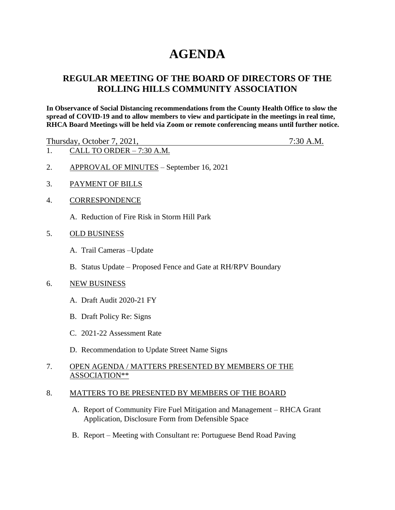# **AGENDA**

# **REGULAR MEETING OF THE BOARD OF DIRECTORS OF THE ROLLING HILLS COMMUNITY ASSOCIATION**

**In Observance of Social Distancing recommendations from the County Health Office to slow the spread of COVID-19 and to allow members to view and participate in the meetings in real time, RHCA Board Meetings will be held via Zoom or remote conferencing means until further notice.** 

Thursday, October 7, 2021, 7:30 A.M.

- 1. CALL TO ORDER 7:30 A.M.
- 2. APPROVAL OF MINUTES September 16, 2021
- 3. PAYMENT OF BILLS
- 4. CORRESPONDENCE
	- A. Reduction of Fire Risk in Storm Hill Park
- 5. OLD BUSINESS
	- A. Trail Cameras –Update
	- B. Status Update Proposed Fence and Gate at RH/RPV Boundary

#### 6. NEW BUSINESS

- A. Draft Audit 2020-21 FY
- B. Draft Policy Re: Signs
- C. 2021-22 Assessment Rate
- D. Recommendation to Update Street Name Signs

## 7. OPEN AGENDA / MATTERS PRESENTED BY MEMBERS OF THE ASSOCIATION\*\*

#### 8. MATTERS TO BE PRESENTED BY MEMBERS OF THE BOARD

- A. Report of Community Fire Fuel Mitigation and Management RHCA Grant Application, Disclosure Form from Defensible Space
- B. Report Meeting with Consultant re: Portuguese Bend Road Paving